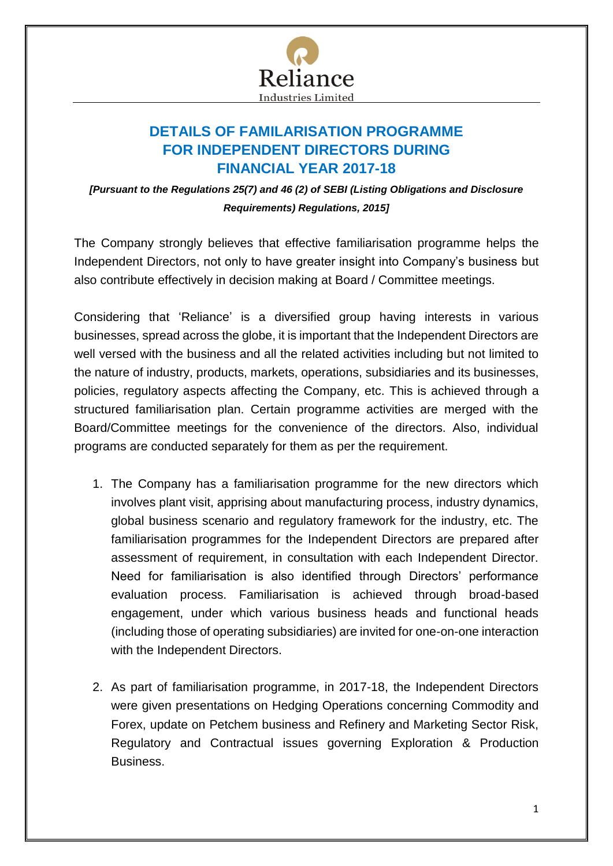

## **DETAILS OF FAMILARISATION PROGRAMME FOR INDEPENDENT DIRECTORS DURING FINANCIAL YEAR 2017-18**

*[Pursuant to the Regulations 25(7) and 46 (2) of SEBI (Listing Obligations and Disclosure Requirements) Regulations, 2015]*

The Company strongly believes that effective familiarisation programme helps the Independent Directors, not only to have greater insight into Company's business but also contribute effectively in decision making at Board / Committee meetings.

Considering that 'Reliance' is a diversified group having interests in various businesses, spread across the globe, it is important that the Independent Directors are well versed with the business and all the related activities including but not limited to the nature of industry, products, markets, operations, subsidiaries and its businesses, policies, regulatory aspects affecting the Company, etc. This is achieved through a structured familiarisation plan. Certain programme activities are merged with the Board/Committee meetings for the convenience of the directors. Also, individual programs are conducted separately for them as per the requirement.

- 1. The Company has a familiarisation programme for the new directors which involves plant visit, apprising about manufacturing process, industry dynamics, global business scenario and regulatory framework for the industry, etc. The familiarisation programmes for the Independent Directors are prepared after assessment of requirement, in consultation with each Independent Director. Need for familiarisation is also identified through Directors' performance evaluation process. Familiarisation is achieved through broad-based engagement, under which various business heads and functional heads (including those of operating subsidiaries) are invited for one-on-one interaction with the Independent Directors.
- 2. As part of familiarisation programme, in 2017-18, the Independent Directors were given presentations on Hedging Operations concerning Commodity and Forex, update on Petchem business and Refinery and Marketing Sector Risk, Regulatory and Contractual issues governing Exploration & Production Business.